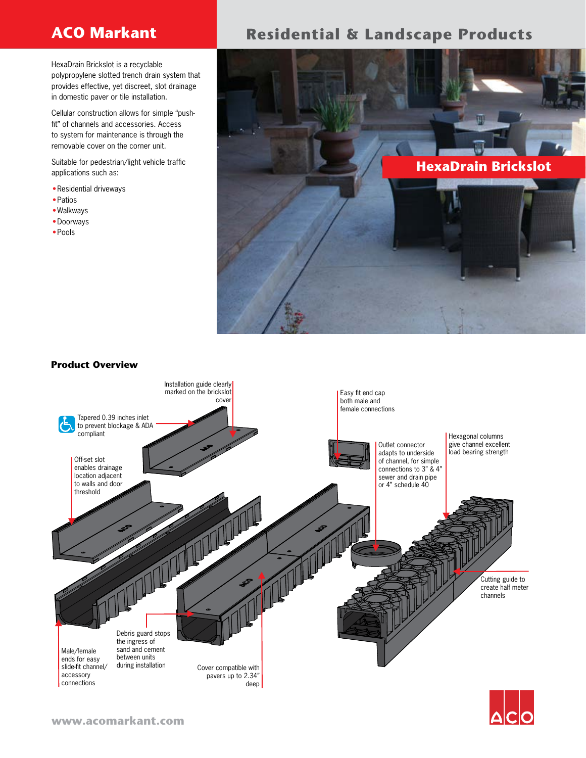HexaDrain Brickslot is a recyclable polypropylene slotted trench drain system that provides effective, yet discreet, slot drainage in domestic paver or tile installation.

Cellular construction allows for simple "pushfit" of channels and accessories. Access to system for maintenance is through the removable cover on the corner unit.

Suitable for pedestrian/light vehicle traffic applications such as:

- Residential driveways
- • Patios
- • Walkways
- • Doorways
- • Pools

# **ACO Markant Residential & Landscape Products**



## **Product Overview**